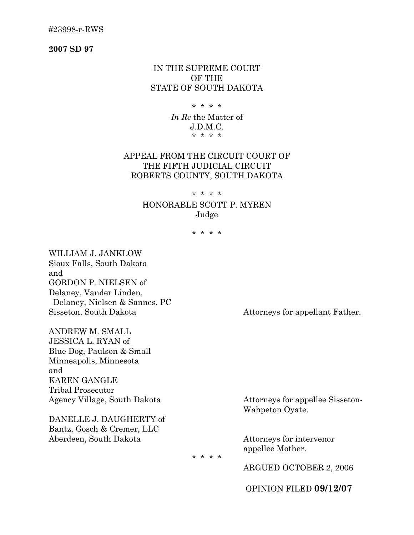#23998-r-RWS

**2007 SD 97**

## IN THE SUPREME COURT OF THE STATE OF SOUTH DAKOTA

#### \* \* \* \*

*In Re* the Matter of J.D.M.C. \* \* \* \*

## APPEAL FROM THE CIRCUIT COURT OF THE FIFTH JUDICIAL CIRCUIT ROBERTS COUNTY, SOUTH DAKOTA

## \* \* \* \*

# HONORABLE SCOTT P. MYREN Judge

\* \* \* \*

WILLIAM J. JANKLOW Sioux Falls, South Dakota and GORDON P. NIELSEN of Delaney, Vander Linden, Delaney, Nielsen & Sannes, PC Sisseton, South Dakota Attorneys for appellant Father.

ANDREW M. SMALL JESSICA L. RYAN of Blue Dog, Paulson & Small Minneapolis, Minnesota and KAREN GANGLE Tribal Prosecutor Agency Village, South Dakota Attorneys for appellee Sisseton-

DANELLE J. DAUGHERTY of Bantz, Gosch & Cremer, LLC Aberdeen, South Dakota Attorneys for intervenor

Wahpeton Oyate.

appellee Mother.

\* \* \* \*

ARGUED OCTOBER 2, 2006

OPINION FILED **09/12/07**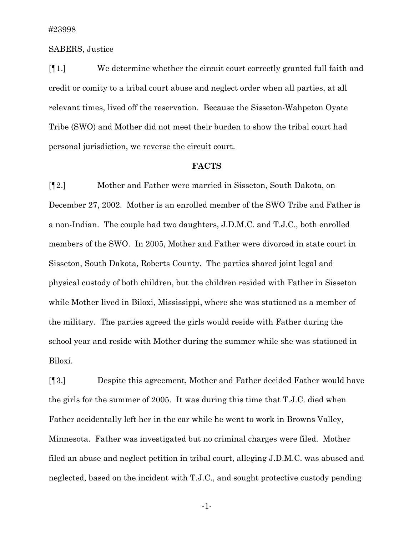### SABERS, Justice

[¶1.] We determine whether the circuit court correctly granted full faith and credit or comity to a tribal court abuse and neglect order when all parties, at all relevant times, lived off the reservation. Because the Sisseton-Wahpeton Oyate Tribe (SWO) and Mother did not meet their burden to show the tribal court had personal jurisdiction, we reverse the circuit court.

#### **FACTS**

[¶2.] Mother and Father were married in Sisseton, South Dakota, on December 27, 2002. Mother is an enrolled member of the SWO Tribe and Father is a non-Indian. The couple had two daughters, J.D.M.C. and T.J.C., both enrolled members of the SWO. In 2005, Mother and Father were divorced in state court in Sisseton, South Dakota, Roberts County. The parties shared joint legal and physical custody of both children, but the children resided with Father in Sisseton while Mother lived in Biloxi, Mississippi, where she was stationed as a member of the military. The parties agreed the girls would reside with Father during the school year and reside with Mother during the summer while she was stationed in Biloxi.

[¶3.] Despite this agreement, Mother and Father decided Father would have the girls for the summer of 2005. It was during this time that T.J.C. died when Father accidentally left her in the car while he went to work in Browns Valley, Minnesota. Father was investigated but no criminal charges were filed. Mother filed an abuse and neglect petition in tribal court, alleging J.D.M.C. was abused and neglected, based on the incident with T.J.C., and sought protective custody pending

-1-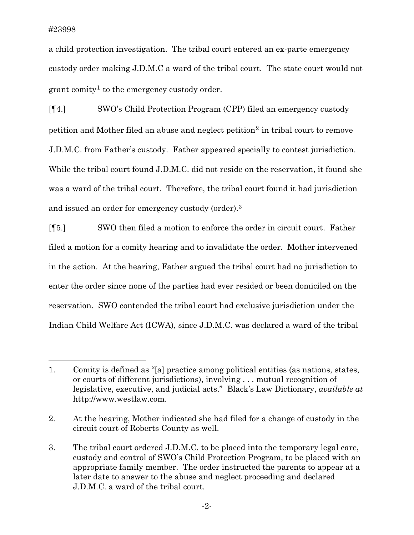$\overline{a}$ 

a child protection investigation. The tribal court entered an ex-parte emergency custody order making J.D.M.C a ward of the tribal court. The state court would not grant comity<sup>[1](#page-2-0)</sup> to the emergency custody order.

[¶4.] SWO's Child Protection Program (CPP) filed an emergency custody petition and Mother filed an abuse and neglect petition[2](#page-2-1) in tribal court to remove J.D.M.C. from Father's custody. Father appeared specially to contest jurisdiction. While the tribal court found J.D.M.C. did not reside on the reservation, it found she was a ward of the tribal court. Therefore, the tribal court found it had jurisdiction and issued an order for emergency custody (order).[3](#page-2-2)

[¶5.] SWO then filed a motion to enforce the order in circuit court. Father filed a motion for a comity hearing and to invalidate the order. Mother intervened in the action. At the hearing, Father argued the tribal court had no jurisdiction to enter the order since none of the parties had ever resided or been domiciled on the reservation. SWO contended the tribal court had exclusive jurisdiction under the Indian Child Welfare Act (ICWA), since J.D.M.C. was declared a ward of the tribal

<span id="page-2-0"></span><sup>1.</sup> Comity is defined as "[a] practice among political entities (as nations, states, or courts of different jurisdictions), involving . . . mutual recognition of legislative, executive, and judicial acts." Black's Law Dictionary, *available at* http://www.westlaw.com.

<span id="page-2-1"></span><sup>2.</sup> At the hearing, Mother indicated she had filed for a change of custody in the circuit court of Roberts County as well.

<span id="page-2-2"></span><sup>3.</sup> The tribal court ordered J.D.M.C. to be placed into the temporary legal care, custody and control of SWO's Child Protection Program, to be placed with an appropriate family member. The order instructed the parents to appear at a later date to answer to the abuse and neglect proceeding and declared J.D.M.C. a ward of the tribal court.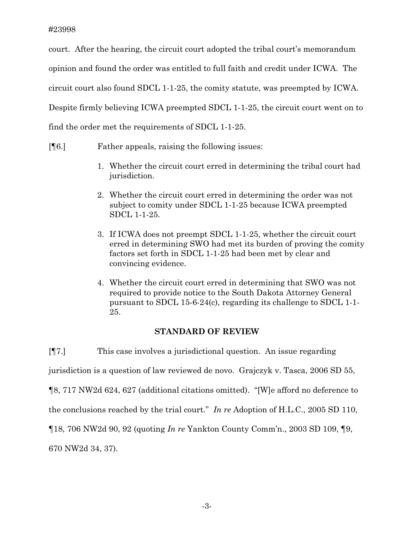court. After the hearing, the circuit court adopted the tribal court's memorandum opinion and found the order was entitled to full faith and credit under ICWA. The circuit court also found SDCL 1-1-25, the comity statute, was preempted by ICWA. Despite firmly believing ICWA preempted SDCL 1-1-25, the circuit court went on to find the order met the requirements of SDCL 1-1-25.

- [¶6.] Father appeals, raising the following issues:
	- 1. Whether the circuit court erred in determining the tribal court had jurisdiction.
	- 2. Whether the circuit court erred in determining the order was not subject to comity under SDCL 1-1-25 because ICWA preempted SDCL 1-1-25.
	- 3. If ICWA does not preempt SDCL 1-1-25, whether the circuit court erred in determining SWO had met its burden of proving the comity factors set forth in SDCL 1-1-25 had been met by clear and convincing evidence.
	- 4. Whether the circuit court erred in determining that SWO was not required to provide notice to the South Dakota Attorney General pursuant to SDCL 15-6-24(c), regarding its challenge to SDCL 1-1- 25.

# **STANDARD OF REVIEW**

[¶7.] This case involves a jurisdictional question. An issue regarding jurisdiction is a question of law reviewed de novo. Grajczyk v. Tasca, 2006 SD 55, ¶8, 717 NW2d 624, 627 (additional citations omitted). "[W]e afford no deference to the conclusions reached by the trial court." *In re* Adoption of H.L.C., 2005 SD 110, ¶18, 706 NW2d 90, 92 (quoting *In re* Yankton County Comm'n., 2003 SD 109, ¶9, 670 NW2d 34, 37).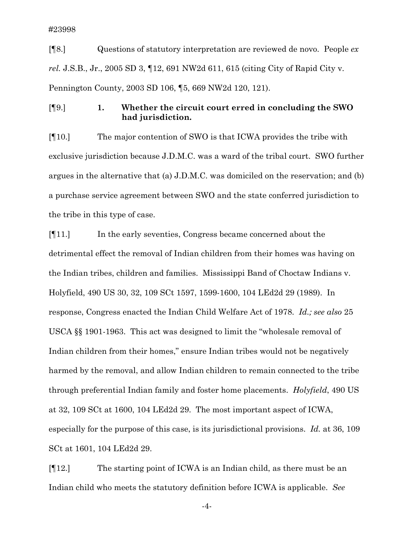[¶8.] Questions of statutory interpretation are reviewed de novo. People *ex rel.* J.S.B., Jr., 2005 SD 3, ¶12, 691 NW2d 611, 615 (citing City of Rapid City v. Pennington County, 2003 SD 106, ¶5, 669 NW2d 120, 121).

[¶9.] **1. Whether the circuit court erred in concluding the SWO had jurisdiction.** 

[¶10.] The major contention of SWO is that ICWA provides the tribe with exclusive jurisdiction because J.D.M.C. was a ward of the tribal court. SWO further argues in the alternative that (a) J.D.M.C. was domiciled on the reservation; and (b) a purchase service agreement between SWO and the state conferred jurisdiction to the tribe in this type of case.

[¶11.] In the early seventies, Congress became concerned about the detrimental effect the removal of Indian children from their homes was having on the Indian tribes, children and families. Mississippi Band of Choctaw Indians v. Holyfield, 490 US 30, 32, 109 SCt 1597, 1599-1600, 104 LEd2d 29 (1989). In response, Congress enacted the Indian Child Welfare Act of 1978. *Id.; see also* 25 USCA §§ 1901-1963. This act was designed to limit the "wholesale removal of Indian children from their homes," ensure Indian tribes would not be negatively harmed by the removal, and allow Indian children to remain connected to the tribe through preferential Indian family and foster home placements. *Holyfield*, 490 US at 32, 109 SCt at 1600, 104 LEd2d 29. The most important aspect of ICWA, especially for the purpose of this case, is its jurisdictional provisions. *Id.* at 36, 109 SCt at 1601, 104 LEd2d 29.

[¶12.] The starting point of ICWA is an Indian child, as there must be an Indian child who meets the statutory definition before ICWA is applicable. *See* 

-4-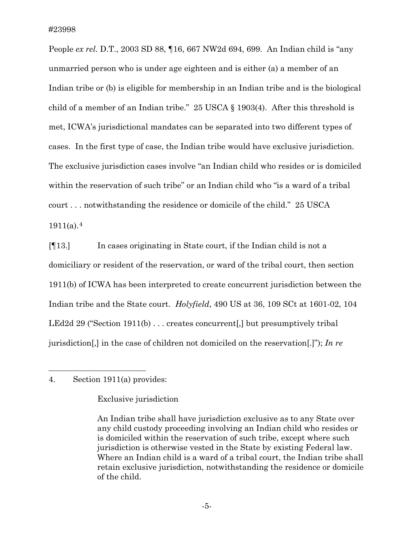People *ex rel.* D.T., 2003 SD 88, ¶16, 667 NW2d 694, 699. An Indian child is "any unmarried person who is under age eighteen and is either (a) a member of an Indian tribe or (b) is eligible for membership in an Indian tribe and is the biological child of a member of an Indian tribe." 25 USCA § 1903(4). After this threshold is met, ICWA's jurisdictional mandates can be separated into two different types of cases. In the first type of case, the Indian tribe would have exclusive jurisdiction. The exclusive jurisdiction cases involve "an Indian child who resides or is domiciled within the reservation of such tribe" or an Indian child who "is a ward of a tribal court . . . notwithstanding the residence or domicile of the child." 25 USCA  $1911(a).4$  $1911(a).4$ 

[¶13.] In cases originating in State court, if the Indian child is not a domiciliary or resident of the reservation, or ward of the tribal court, then section 1911(b) of ICWA has been interpreted to create concurrent jurisdiction between the Indian tribe and the State court. *Holyfield*, 490 US at 36, 109 SCt at 1601-02, 104 LEd2d 29 ("Section 1911(b) ... creates concurrent. but presumptively tribal jurisdiction[,] in the case of children not domiciled on the reservation[.]"); *In re*

## <span id="page-5-0"></span>4. Section 1911(a) provides:

 $\overline{a}$ 

## Exclusive jurisdiction

An Indian tribe shall have jurisdiction exclusive as to any State over any child custody proceeding involving an Indian child who resides or is domiciled within the reservation of such tribe, except where such jurisdiction is otherwise vested in the State by existing Federal law. Where an Indian child is a ward of a tribal court, the Indian tribe shall retain exclusive jurisdiction, notwithstanding the residence or domicile of the child.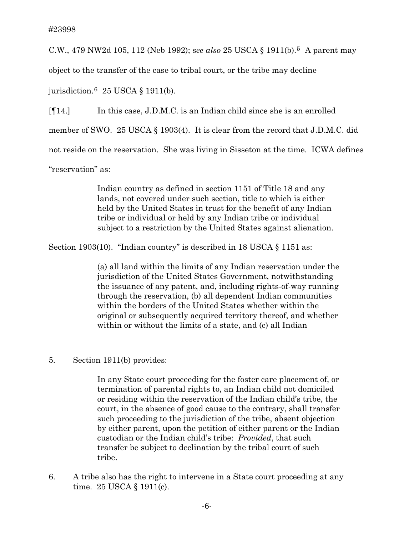C.W., 479 NW2d 105, 112 (Neb 1992); s*ee also* 25 USCA § 1911(b).[5](#page-6-0) A parent may

object to the transfer of the case to tribal court, or the tribe may decline

jurisdiction.[6](#page-6-1) 25 USCA § 1911(b).

[¶14.] In this case, J.D.M.C. is an Indian child since she is an enrolled member of SWO. 25 USCA § 1903(4). It is clear from the record that J.D.M.C. did not reside on the reservation. She was living in Sisseton at the time. ICWA defines "reservation" as:

> Indian country as defined in section 1151 of Title 18 and any lands, not covered under such section, title to which is either held by the United States in trust for the benefit of any Indian tribe or individual or held by any Indian tribe or individual subject to a restriction by the United States against alienation.

Section 1903(10). "Indian country" is described in 18 USCA § 1151 as:

(a) all land within the limits of any Indian reservation under the jurisdiction of the United States Government, notwithstanding the issuance of any patent, and, including rights-of-way running through the reservation, (b) all dependent Indian communities within the borders of the United States whether within the original or subsequently acquired territory thereof, and whether within or without the limits of a state, and (c) all Indian

<span id="page-6-0"></span>5. Section 1911(b) provides:

 $\overline{a}$ 

In any State court proceeding for the foster care placement of, or termination of parental rights to, an Indian child not domiciled or residing within the reservation of the Indian child's tribe, the court, in the absence of good cause to the contrary, shall transfer such proceeding to the jurisdiction of the tribe, absent objection by either parent, upon the petition of either parent or the Indian custodian or the Indian child's tribe: *Provided*, that such transfer be subject to declination by the tribal court of such tribe.

<span id="page-6-1"></span>6. A tribe also has the right to intervene in a State court proceeding at any time. 25 USCA § 1911(c).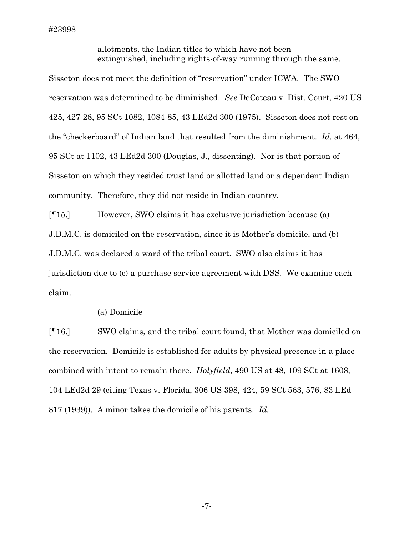allotments, the Indian titles to which have not been extinguished, including rights-of-way running through the same.

Sisseton does not meet the definition of "reservation" under ICWA. The SWO reservation was determined to be diminished. *See* DeCoteau v. Dist. Court, 420 US 425, 427-28, 95 SCt 1082, 1084-85, 43 LEd2d 300 (1975). Sisseton does not rest on the "checkerboard" of Indian land that resulted from the diminishment. *Id.* at 464, 95 SCt at 1102, 43 LEd2d 300 (Douglas, J., dissenting). Nor is that portion of Sisseton on which they resided trust land or allotted land or a dependent Indian community. Therefore, they did not reside in Indian country.

[¶15.] However, SWO claims it has exclusive jurisdiction because (a) J.D.M.C. is domiciled on the reservation, since it is Mother's domicile, and (b) J.D.M.C. was declared a ward of the tribal court. SWO also claims it has jurisdiction due to (c) a purchase service agreement with DSS. We examine each claim.

#### (a) Domicile

[¶16.] SWO claims, and the tribal court found, that Mother was domiciled on the reservation. Domicile is established for adults by physical presence in a place combined with intent to remain there. *Holyfield*, 490 US at 48, 109 SCt at 1608, 104 LEd2d 29 (citing Texas v. Florida, 306 US 398, 424, 59 SCt 563, 576, 83 LEd 817 (1939)). A minor takes the domicile of his parents. *Id.* 

-7-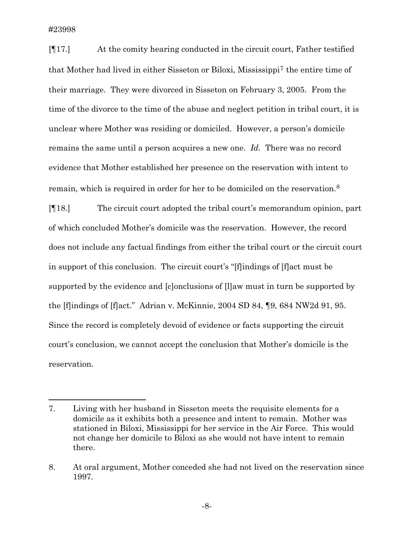$\overline{a}$ 

[¶17.] At the comity hearing conducted in the circuit court, Father testified that Mother had lived in either Sisseton or Biloxi, Mississipp[i7](#page-8-0) the entire time of their marriage. They were divorced in Sisseton on February 3, 2005. From the time of the divorce to the time of the abuse and neglect petition in tribal court, it is unclear where Mother was residing or domiciled. However, a person's domicile remains the same until a person acquires a new one. *Id.* There was no record evidence that Mother established her presence on the reservation with intent to remain, which is required in order for her to be domiciled on the reservation.[8](#page-8-1)

[¶18.] The circuit court adopted the tribal court's memorandum opinion, part of which concluded Mother's domicile was the reservation. However, the record does not include any factual findings from either the tribal court or the circuit court in support of this conclusion. The circuit court's "[f]indings of [f]act must be supported by the evidence and [c]onclusions of [l]aw must in turn be supported by the [f]indings of [f]act." Adrian v. McKinnie, 2004 SD 84, ¶9, 684 NW2d 91, 95. Since the record is completely devoid of evidence or facts supporting the circuit court's conclusion, we cannot accept the conclusion that Mother's domicile is the reservation.

<span id="page-8-0"></span><sup>7.</sup> Living with her husband in Sisseton meets the requisite elements for a domicile as it exhibits both a presence and intent to remain. Mother was stationed in Biloxi, Mississippi for her service in the Air Force. This would not change her domicile to Biloxi as she would not have intent to remain there.

<span id="page-8-1"></span><sup>8.</sup> At oral argument, Mother conceded she had not lived on the reservation since 1997.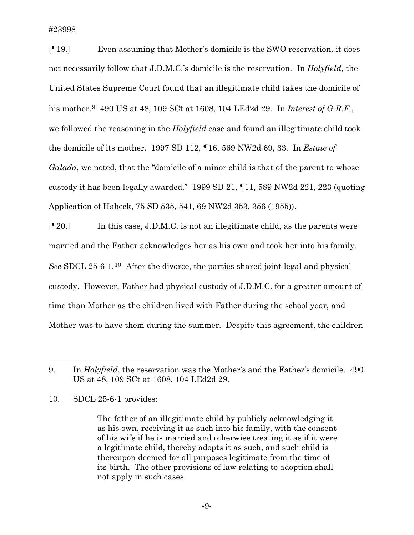[¶19.] Even assuming that Mother's domicile is the SWO reservation, it does not necessarily follow that J.D.M.C.'s domicile is the reservation. In *Holyfield*, the United States Supreme Court found that an illegitimate child takes the domicile of his mother.[9](#page-9-0) 490 US at 48, 109 SCt at 1608, 104 LEd2d 29. In *Interest of G.R.F.*, we followed the reasoning in the *Holyfield* case and found an illegitimate child took the domicile of its mother. 1997 SD 112, ¶16, 569 NW2d 69, 33. In *Estate of Galada*, we noted, that the "domicile of a minor child is that of the parent to whose custody it has been legally awarded." 1999 SD 21, ¶11, 589 NW2d 221, 223 (quoting Application of Habeck, 75 SD 535, 541, 69 NW2d 353, 356 (1955)).

[¶20.] In this case, J.D.M.C. is not an illegitimate child, as the parents were married and the Father acknowledges her as his own and took her into his family. *See* SDCL 25-6-1.[10](#page-9-1) After the divorce, the parties shared joint legal and physical custody. However, Father had physical custody of J.D.M.C. for a greater amount of time than Mother as the children lived with Father during the school year, and Mother was to have them during the summer. Despite this agreement, the children

<span id="page-9-1"></span>10. SDCL 25-6-1 provides:

 $\overline{a}$ 

<span id="page-9-0"></span><sup>9.</sup> In *Holyfield*, the reservation was the Mother's and the Father's domicile. 490 US at 48, 109 SCt at 1608, 104 LEd2d 29.

The father of an illegitimate child by publicly acknowledging it as his own, receiving it as such into his family, with the consent of his wife if he is married and otherwise treating it as if it were a legitimate child, thereby adopts it as such, and such child is thereupon deemed for all purposes legitimate from the time of its birth. The other provisions of law relating to adoption shall not apply in such cases.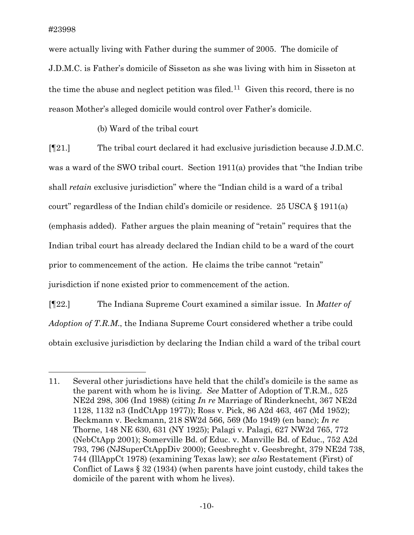$\overline{a}$ 

were actually living with Father during the summer of 2005. The domicile of J.D.M.C. is Father's domicile of Sisseton as she was living with him in Sisseton at the time the abuse and neglect petition was filed.<sup>11</sup> Given this record, there is no reason Mother's alleged domicile would control over Father's domicile.

(b) Ward of the tribal court

[¶21.] The tribal court declared it had exclusive jurisdiction because J.D.M.C. was a ward of the SWO tribal court. Section 1911(a) provides that "the Indian tribe shall *retain* exclusive jurisdiction" where the "Indian child is a ward of a tribal court" regardless of the Indian child's domicile or residence. 25 USCA § 1911(a) (emphasis added). Father argues the plain meaning of "retain" requires that the Indian tribal court has already declared the Indian child to be a ward of the court prior to commencement of the action. He claims the tribe cannot "retain" jurisdiction if none existed prior to commencement of the action.

[¶22.] The Indiana Supreme Court examined a similar issue. In *Matter of Adoption of T.R.M*., the Indiana Supreme Court considered whether a tribe could obtain exclusive jurisdiction by declaring the Indian child a ward of the tribal court

<span id="page-10-0"></span><sup>11.</sup> Several other jurisdictions have held that the child's domicile is the same as the parent with whom he is living. *See* Matter of Adoption of T.R.M., 525 NE2d 298, 306 (Ind 1988) (citing *In re* Marriage of Rinderknecht, 367 NE2d 1128, 1132 n3 (IndCtApp 1977)); Ross v. Pick, 86 A2d 463, 467 (Md 1952); Beckmann v. Beckmann, 218 SW2d 566, 569 (Mo 1949) (en banc); *In re* Thorne, 148 NE 630, 631 (NY 1925); Palagi v. Palagi, 627 NW2d 765, 772 (NebCtApp 2001); Somerville Bd. of Educ. v. Manville Bd. of Educ., 752 A2d 793, 796 (NJSuperCtAppDiv 2000); Geesbreght v. Geesbreght, 379 NE2d 738, 744 (IllAppCt 1978) (examining Texas law); s*ee also* Restatement (First) of Conflict of Laws § 32 (1934) (when parents have joint custody, child takes the domicile of the parent with whom he lives).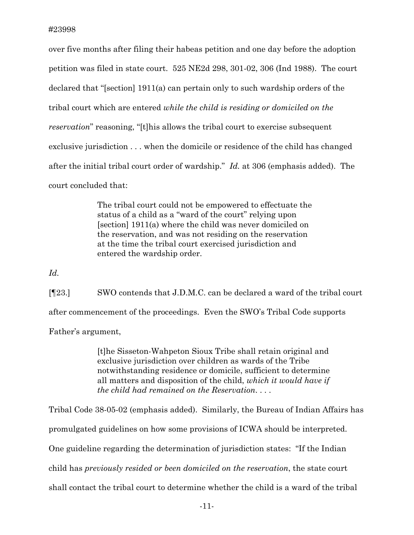over five months after filing their habeas petition and one day before the adoption petition was filed in state court. 525 NE2d 298, 301-02, 306 (Ind 1988). The court declared that "[section] 1911(a) can pertain only to such wardship orders of the tribal court which are entered *while the child is residing or domiciled on the reservation*" reasoning, "[t]his allows the tribal court to exercise subsequent exclusive jurisdiction . . . when the domicile or residence of the child has changed after the initial tribal court order of wardship." *Id.* at 306 (emphasis added). The court concluded that:

> The tribal court could not be empowered to effectuate the status of a child as a "ward of the court" relying upon [section] 1911(a) where the child was never domiciled on the reservation, and was not residing on the reservation at the time the tribal court exercised jurisdiction and entered the wardship order.

*Id.* 

[¶23.] SWO contends that J.D.M.C. can be declared a ward of the tribal court after commencement of the proceedings. Even the SWO's Tribal Code supports Father's argument,

> [t]he Sisseton-Wahpeton Sioux Tribe shall retain original and exclusive jurisdiction over children as wards of the Tribe notwithstanding residence or domicile, sufficient to determine all matters and disposition of the child, *which it would have if the child had remained on the Reservation*. . . .

Tribal Code 38-05-02 (emphasis added). Similarly, the Bureau of Indian Affairs has promulgated guidelines on how some provisions of ICWA should be interpreted. One guideline regarding the determination of jurisdiction states: "If the Indian child has *previously resided or been domiciled on the reservation*, the state court shall contact the tribal court to determine whether the child is a ward of the tribal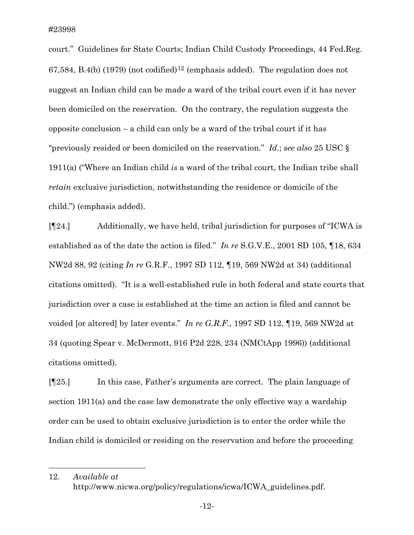l

court." Guidelines for State Courts; Indian Child Custody Proceedings, 44 Fed.Reg. 67,584, B.4(b) (1979) (not codified)<sup>[12](#page-12-0)</sup> (emphasis added). The regulation does not suggest an Indian child can be made a ward of the tribal court even if it has never been domiciled on the reservation. On the contrary, the regulation suggests the opposite conclusion – a child can only be a ward of the tribal court if it has "previously resided or been domiciled on the reservation." *Id.*; *see also* 25 USC § 1911(a) ("Where an Indian child *is* a ward of the tribal court, the Indian tribe shall *retain* exclusive jurisdiction, notwithstanding the residence or domicile of the child.") (emphasis added).

[¶24.] Additionally, we have held, tribal jurisdiction for purposes of "ICWA is established as of the date the action is filed." *In re* S.G.V.E., 2001 SD 105, ¶18, 634 NW2d 88, 92 (citing *In re* G.R.F., 1997 SD 112, ¶19, 569 NW2d at 34) (additional citations omitted). "It is a well-established rule in both federal and state courts that jurisdiction over a case is established at the time an action is filed and cannot be voided [or altered] by later events." *In re G.R.F.*, 1997 SD 112, ¶19, 569 NW2d at 34 (quoting Spear v. McDermott, 916 P2d 228, 234 (NMCtApp 1996)) (additional citations omitted).

[¶25.] In this case, Father's arguments are correct. The plain language of section 1911(a) and the case law demonstrate the only effective way a wardship order can be used to obtain exclusive jurisdiction is to enter the order while the Indian child is domiciled or residing on the reservation and before the proceeding

<span id="page-12-0"></span>12. *Available at* http://www.nicwa.org/policy/regulations/icwa/ICWA\_guidelines.pdf.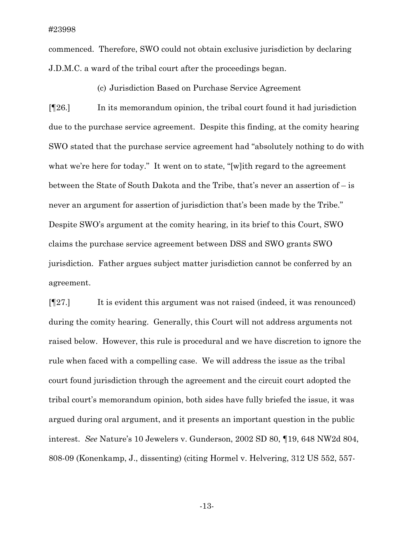commenced. Therefore, SWO could not obtain exclusive jurisdiction by declaring J.D.M.C. a ward of the tribal court after the proceedings began.

(c) Jurisdiction Based on Purchase Service Agreement

[¶26.] In its memorandum opinion, the tribal court found it had jurisdiction due to the purchase service agreement. Despite this finding, at the comity hearing SWO stated that the purchase service agreement had "absolutely nothing to do with what we're here for today." It went on to state, "[w]ith regard to the agreement between the State of South Dakota and the Tribe, that's never an assertion of – is never an argument for assertion of jurisdiction that's been made by the Tribe." Despite SWO's argument at the comity hearing, in its brief to this Court, SWO claims the purchase service agreement between DSS and SWO grants SWO jurisdiction. Father argues subject matter jurisdiction cannot be conferred by an agreement.

[¶27.] It is evident this argument was not raised (indeed, it was renounced) during the comity hearing. Generally, this Court will not address arguments not raised below. However, this rule is procedural and we have discretion to ignore the rule when faced with a compelling case. We will address the issue as the tribal court found jurisdiction through the agreement and the circuit court adopted the tribal court's memorandum opinion, both sides have fully briefed the issue, it was argued during oral argument, and it presents an important question in the public interest. *See* Nature's 10 Jewelers v. Gunderson, 2002 SD 80, ¶19, 648 NW2d 804, 808-09 (Konenkamp, J., dissenting) (citing Hormel v. Helvering, 312 US 552, 557-

-13-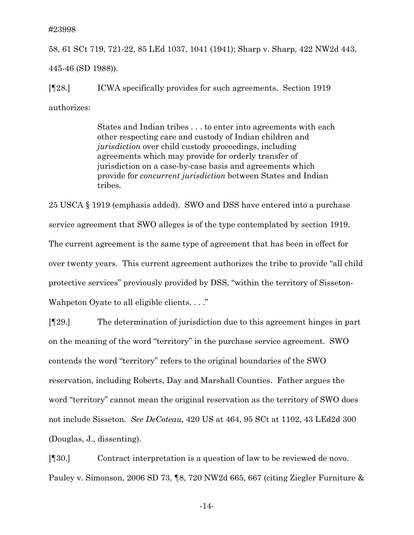58, 61 SCt 719, 721-22, 85 LEd 1037, 1041 (1941); Sharp v. Sharp, 422 NW2d 443, 445-46 (SD 1988)).

[¶28.] ICWA specifically provides for such agreements. Section 1919 authorizes:

> States and Indian tribes . . . to enter into agreements with each other respecting care and custody of Indian children and *jurisdiction* over child custody proceedings, including agreements which may provide for orderly transfer of jurisdiction on a case-by-case basis and agreements which provide for *concurrent jurisdiction* between States and Indian tribes.

25 USCA § 1919 (emphasis added). SWO and DSS have entered into a purchase service agreement that SWO alleges is of the type contemplated by section 1919. The current agreement is the same type of agreement that has been in effect for over twenty years. This current agreement authorizes the tribe to provide "all child protective services" previously provided by DSS, "within the territory of Sisseton-Wahpeton Oyate to all eligible clients. . . ."

[¶29.] The determination of jurisdiction due to this agreement hinges in part on the meaning of the word "territory" in the purchase service agreement. SWO contends the word "territory" refers to the original boundaries of the SWO reservation, including Roberts, Day and Marshall Counties. Father argues the word "territory" cannot mean the original reservation as the territory of SWO does not include Sisseton. *See DeCoteau*, 420 US at 464, 95 SCt at 1102, 43 LEd2d 300 (Douglas, J., dissenting).

[¶30.] Contract interpretation is a question of law to be reviewed de novo. Pauley v. Simonson, 2006 SD 73, ¶8, 720 NW2d 665, 667 (citing Ziegler Furniture &

-14-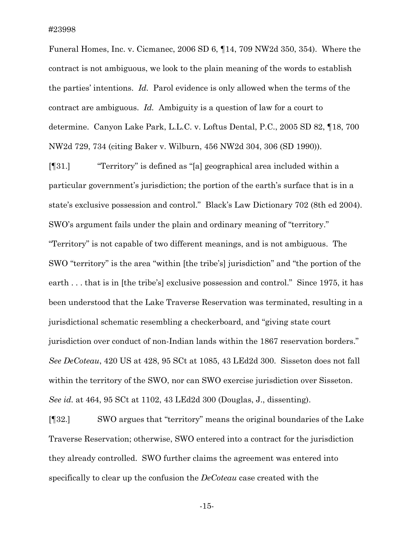Funeral Homes, Inc. v. Cicmanec, 2006 SD 6, ¶14, 709 NW2d 350, 354). Where the contract is not ambiguous, we look to the plain meaning of the words to establish the parties' intentions. *Id.* Parol evidence is only allowed when the terms of the contract are ambiguous. *Id.* Ambiguity is a question of law for a court to determine. Canyon Lake Park, L.L.C. v. Loftus Dental, P.C., 2005 SD 82, ¶18, 700 NW2d 729, 734 (citing Baker v. Wilburn, 456 NW2d 304, 306 (SD 1990)).

[¶31.] "Territory" is defined as "[a] geographical area included within a particular government's jurisdiction; the portion of the earth's surface that is in a state's exclusive possession and control." Black's Law Dictionary 702 (8th ed 2004). SWO's argument fails under the plain and ordinary meaning of "territory." "Territory" is not capable of two different meanings, and is not ambiguous. The SWO "territory" is the area "within [the tribe's] jurisdiction" and "the portion of the earth . . . that is in [the tribe's] exclusive possession and control." Since 1975, it has been understood that the Lake Traverse Reservation was terminated, resulting in a jurisdictional schematic resembling a checkerboard, and "giving state court jurisdiction over conduct of non-Indian lands within the 1867 reservation borders." *See DeCoteau*, 420 US at 428, 95 SCt at 1085, 43 LEd2d 300. Sisseton does not fall within the territory of the SWO, nor can SWO exercise jurisdiction over Sisseton. *See id.* at 464, 95 SCt at 1102, 43 LEd2d 300 (Douglas, J., dissenting).

[¶32.] SWO argues that "territory" means the original boundaries of the Lake Traverse Reservation; otherwise, SWO entered into a contract for the jurisdiction they already controlled. SWO further claims the agreement was entered into specifically to clear up the confusion the *DeCoteau* case created with the

-15-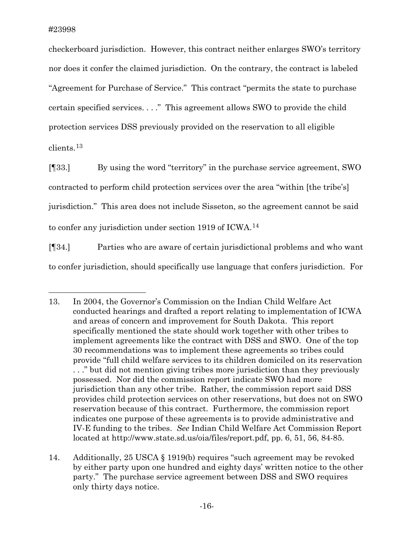$\overline{a}$ 

checkerboard jurisdiction. However, this contract neither enlarges SWO's territory nor does it confer the claimed jurisdiction. On the contrary, the contract is labeled "Agreement for Purchase of Service." This contract "permits the state to purchase certain specified services. . . ." This agreement allows SWO to provide the child protection services DSS previously provided on the reservation to all eligible clients.[13](#page-16-0)

[¶33.] By using the word "territory" in the purchase service agreement, SWO contracted to perform child protection services over the area "within [the tribe's] jurisdiction." This area does not include Sisseton, so the agreement cannot be said to confer any jurisdiction under section 1919 of ICWA.<sup>[14](#page-16-1)</sup>

[¶34.] Parties who are aware of certain jurisdictional problems and who want to confer jurisdiction, should specifically use language that confers jurisdiction. For

<span id="page-16-0"></span><sup>13.</sup> In 2004, the Governor's Commission on the Indian Child Welfare Act conducted hearings and drafted a report relating to implementation of ICWA and areas of concern and improvement for South Dakota. This report specifically mentioned the state should work together with other tribes to implement agreements like the contract with DSS and SWO. One of the top 30 recommendations was to implement these agreements so tribes could provide "full child welfare services to its children domiciled on its reservation . . ." but did not mention giving tribes more jurisdiction than they previously possessed. Nor did the commission report indicate SWO had more jurisdiction than any other tribe. Rather, the commission report said DSS provides child protection services on other reservations, but does not on SWO reservation because of this contract. Furthermore, the commission report indicates one purpose of these agreements is to provide administrative and IV-E funding to the tribes. *See* Indian Child Welfare Act Commission Report located at http://www.state.sd.us/oia/files/report.pdf, pp. 6, 51, 56, 84-85.

<span id="page-16-1"></span><sup>14.</sup> Additionally, 25 USCA § 1919(b) requires "such agreement may be revoked by either party upon one hundred and eighty days' written notice to the other party." The purchase service agreement between DSS and SWO requires only thirty days notice.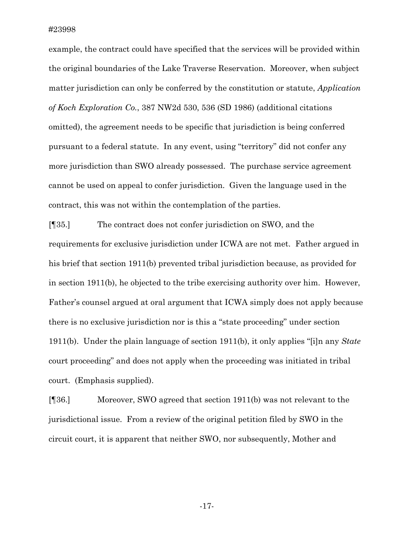example, the contract could have specified that the services will be provided within the original boundaries of the Lake Traverse Reservation. Moreover, when subject matter jurisdiction can only be conferred by the constitution or statute, *Application of Koch Exploration Co.*, 387 NW2d 530, 536 (SD 1986) (additional citations omitted), the agreement needs to be specific that jurisdiction is being conferred pursuant to a federal statute. In any event, using "territory" did not confer any more jurisdiction than SWO already possessed. The purchase service agreement cannot be used on appeal to confer jurisdiction. Given the language used in the contract, this was not within the contemplation of the parties.

[¶35.] The contract does not confer jurisdiction on SWO, and the requirements for exclusive jurisdiction under ICWA are not met. Father argued in his brief that section 1911(b) prevented tribal jurisdiction because, as provided for in section 1911(b), he objected to the tribe exercising authority over him. However, Father's counsel argued at oral argument that ICWA simply does not apply because there is no exclusive jurisdiction nor is this a "state proceeding" under section 1911(b). Under the plain language of section 1911(b), it only applies "[i]n any *State* court proceeding" and does not apply when the proceeding was initiated in tribal court. (Emphasis supplied).

[¶36.] Moreover, SWO agreed that section 1911(b) was not relevant to the jurisdictional issue. From a review of the original petition filed by SWO in the circuit court, it is apparent that neither SWO, nor subsequently, Mother and

-17-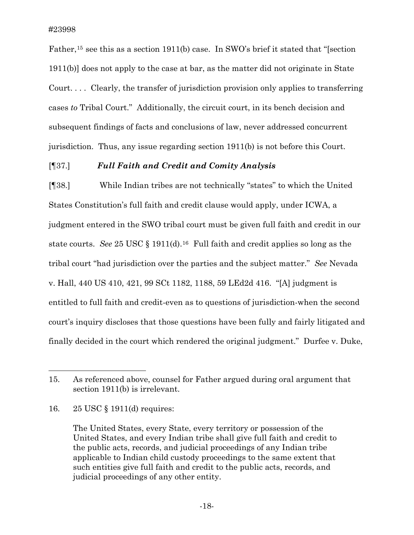Father,<sup>[15](#page-18-0)</sup> see this as a section 1911(b) case. In SWO's brief it stated that "[section 1911(b)] does not apply to the case at bar, as the matter did not originate in State Court. . . . Clearly, the transfer of jurisdiction provision only applies to transferring cases *to* Tribal Court." Additionally, the circuit court, in its bench decision and subsequent findings of facts and conclusions of law, never addressed concurrent jurisdiction. Thus, any issue regarding section 1911(b) is not before this Court.

### [¶37.] *Full Faith and Credit and Comity Analysis*

[¶38.] While Indian tribes are not technically "states" to which the United States Constitution's full faith and credit clause would apply, under ICWA, a judgment entered in the SWO tribal court must be given full faith and credit in our state courts. *See* 25 USC § 1911(d).[16](#page-18-1) Full faith and credit applies so long as the tribal court "had jurisdiction over the parties and the subject matter." *See* Nevada v. Hall, 440 US 410, 421, 99 SCt 1182, 1188, 59 LEd2d 416. "[A] judgment is entitled to full faith and credit-even as to questions of jurisdiction-when the second court's inquiry discloses that those questions have been fully and fairly litigated and finally decided in the court which rendered the original judgment." Durfee v. Duke,

 $\overline{a}$ 

<span id="page-18-0"></span><sup>15.</sup> As referenced above, counsel for Father argued during oral argument that section 1911(b) is irrelevant.

<span id="page-18-1"></span><sup>16. 25</sup> USC § 1911(d) requires:

The United States, every State, every territory or possession of the United States, and every Indian tribe shall give full faith and credit to the public acts, records, and judicial proceedings of any Indian tribe applicable to Indian child custody proceedings to the same extent that such entities give full faith and credit to the public acts, records, and judicial proceedings of any other entity.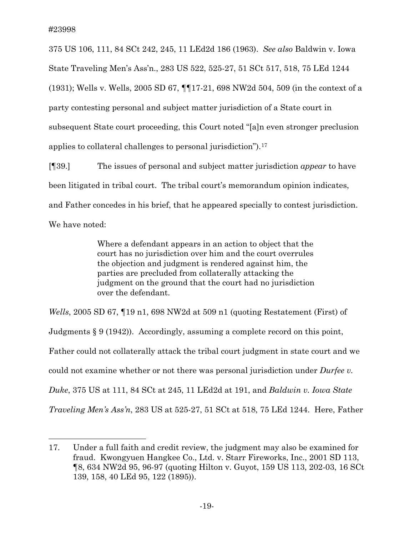$\overline{a}$ 

375 US 106, 111, 84 SCt 242, 245, 11 LEd2d 186 (1963). *See also* Baldwin v. Iowa State Traveling Men's Ass'n., 283 US 522, 525-27, 51 SCt 517, 518, 75 LEd 1244 (1931); Wells v. Wells, 2005 SD 67, ¶¶17-21, 698 NW2d 504, 509 (in the context of a party contesting personal and subject matter jurisdiction of a State court in subsequent State court proceeding, this Court noted "[a]n even stronger preclusion applies to collateral challenges to personal jurisdiction").[17](#page-19-0)

[¶39.] The issues of personal and subject matter jurisdiction *appear* to have been litigated in tribal court. The tribal court's memorandum opinion indicates, and Father concedes in his brief, that he appeared specially to contest jurisdiction. We have noted:

> Where a defendant appears in an action to object that the court has no jurisdiction over him and the court overrules the objection and judgment is rendered against him, the parties are precluded from collaterally attacking the judgment on the ground that the court had no jurisdiction over the defendant.

*Wells*, 2005 SD 67, ¶19 n1, 698 NW2d at 509 n1 (quoting Restatement (First) of Judgments § 9 (1942)). Accordingly, assuming a complete record on this point, Father could not collaterally attack the tribal court judgment in state court and we could not examine whether or not there was personal jurisdiction under *Durfee v. Duke*, 375 US at 111, 84 SCt at 245, 11 LEd2d at 191, and *Baldwin v. Iowa State Traveling Men's Ass'n*, 283 US at 525-27, 51 SCt at 518, 75 LEd 1244. Here, Father

<span id="page-19-0"></span><sup>17.</sup> Under a full faith and credit review, the judgment may also be examined for fraud. Kwongyuen Hangkee Co., Ltd. v. Starr Fireworks, Inc., 2001 SD 113, ¶8, 634 NW2d 95, 96-97 (quoting Hilton v. Guyot, 159 US 113, 202-03, 16 SCt 139, 158, 40 LEd 95, 122 (1895)).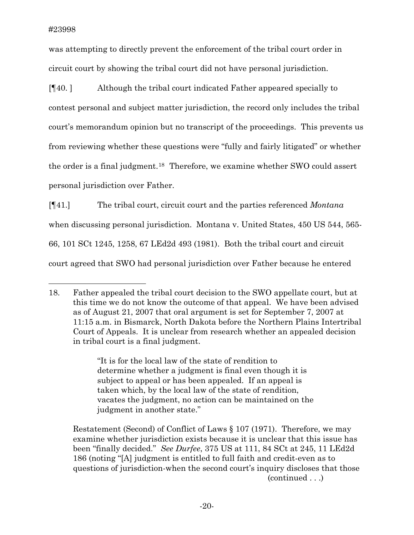$\overline{a}$ 

was attempting to directly prevent the enforcement of the tribal court order in circuit court by showing the tribal court did not have personal jurisdiction.

[¶40. ] Although the tribal court indicated Father appeared specially to contest personal and subject matter jurisdiction, the record only includes the tribal court's memorandum opinion but no transcript of the proceedings. This prevents us from reviewing whether these questions were "fully and fairly litigated" or whether the order is a final judgment.[18](#page-20-0) Therefore, we examine whether SWO could assert personal jurisdiction over Father.

[¶41.] The tribal court, circuit court and the parties referenced *Montana* when discussing personal jurisdiction. Montana v. United States, 450 US 544, 565-66, 101 SCt 1245, 1258, 67 LEd2d 493 (1981). Both the tribal court and circuit court agreed that SWO had personal jurisdiction over Father because he entered

"It is for the local law of the state of rendition to determine whether a judgment is final even though it is subject to appeal or has been appealed. If an appeal is taken which, by the local law of the state of rendition, vacates the judgment, no action can be maintained on the judgment in another state."

 (continued . . .) Restatement (Second) of Conflict of Laws § 107 (1971). Therefore, we may examine whether jurisdiction exists because it is unclear that this issue has been "finally decided." *See Durfee*, 375 US at 111, 84 SCt at 245, 11 LEd2d 186 (noting "[A] judgment is entitled to full faith and credit-even as to questions of jurisdiction-when the second court's inquiry discloses that those

<span id="page-20-0"></span><sup>18.</sup> Father appealed the tribal court decision to the SWO appellate court, but at this time we do not know the outcome of that appeal. We have been advised as of August 21, 2007 that oral argument is set for September 7, 2007 at 11:15 a.m. in Bismarck, North Dakota before the Northern Plains Intertribal Court of Appeals. It is unclear from research whether an appealed decision in tribal court is a final judgment.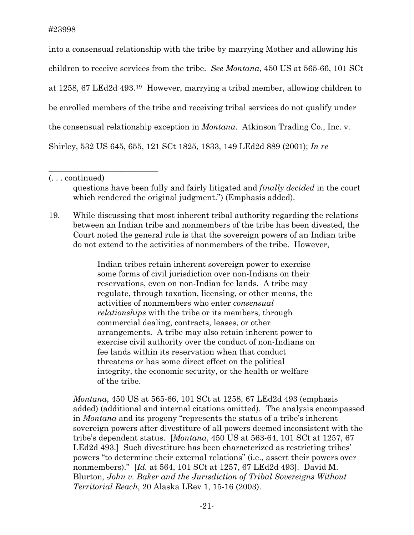into a consensual relationship with the tribe by marrying Mother and allowing his children to receive services from the tribe. *See Montana*, 450 US at 565-66, 101 SCt at 1258, 67 LEd2d 493.[19](#page-21-0) However, marrying a tribal member, allowing children to be enrolled members of the tribe and receiving tribal services do not qualify under the consensual relationship exception in *Montana*. Atkinson Trading Co., Inc. v. Shirley, 532 US 645, 655, 121 SCt 1825, 1833, 149 LEd2d 889 (2001); *In re* 

 $\overline{\phantom{a}}$  , where  $\overline{\phantom{a}}$  , where  $\overline{\phantom{a}}$  , where  $\overline{\phantom{a}}$  , where  $\overline{\phantom{a}}$ 

questions have been fully and fairly litigated and *finally decided* in the court which rendered the original judgment.") (Emphasis added).

<span id="page-21-0"></span>19. While discussing that most inherent tribal authority regarding the relations between an Indian tribe and nonmembers of the tribe has been divested, the Court noted the general rule is that the sovereign powers of an Indian tribe do not extend to the activities of nonmembers of the tribe. However,

> Indian tribes retain inherent sovereign power to exercise some forms of civil jurisdiction over non-Indians on their reservations, even on non-Indian fee lands. A tribe may regulate, through taxation, licensing, or other means, the activities of nonmembers who enter *consensual relationships* with the tribe or its members, through commercial dealing, contracts, leases, or other arrangements. A tribe may also retain inherent power to exercise civil authority over the conduct of non-Indians on fee lands within its reservation when that conduct threatens or has some direct effect on the political integrity, the economic security, or the health or welfare of the tribe.

*Montana*, 450 US at 565-66, 101 SCt at 1258, 67 LEd2d 493 (emphasis added) (additional and internal citations omitted). The analysis encompassed in *Montana* and its progeny "represents the status of a tribe's inherent sovereign powers after divestiture of all powers deemed inconsistent with the tribe's dependent status. [*Montana*, 450 US at 563-64, 101 SCt at 1257, 67 LEd2d 493.] Such divestiture has been characterized as restricting tribes' powers "to determine their external relations" (i.e., assert their powers over nonmembers)." [*Id.* at 564, 101 SCt at 1257, 67 LEd2d 493]. David M. Blurton, *John v. Baker and the Jurisdiction of Tribal Sovereigns Without Territorial Reach*, 20 Alaska LRev 1, 15-16 (2003).

<sup>(. . .</sup> continued)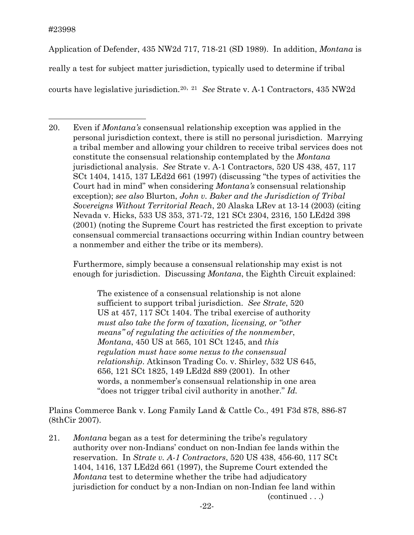Application of Defender, 435 NW2d 717, 718-21 (SD 1989). In addition, *Montana* is really a test for subject matter jurisdiction, typically used to determine if tribal courts have legislative jurisdiction.[20](#page-22-0), [21](#page-22-1) *See* Strate v. A-1 Contractors, 435 NW2d

<span id="page-22-0"></span> $\overline{a}$ 20. Even if *Montana's* consensual relationship exception was applied in the personal jurisdiction context, there is still no personal jurisdiction. Marrying a tribal member and allowing your children to receive tribal services does not constitute the consensual relationship contemplated by the *Montana* jurisdictional analysis. *See* Strate v. A-1 Contractors, 520 US 438, 457, 117 SCt 1404, 1415, 137 LEd2d 661 (1997) (discussing "the types of activities the Court had in mind" when considering *Montana's* consensual relationship exception); *see also* Blurton, *John v. Baker and the Jurisdiction of Tribal Sovereigns Without Territorial Reach*, 20 Alaska LRev at 13-14 (2003) (citing Nevada v. Hicks, 533 US 353, 371-72, 121 SCt 2304, 2316, 150 LEd2d 398 (2001) (noting the Supreme Court has restricted the first exception to private consensual commercial transactions occurring within Indian country between a nonmember and either the tribe or its members).

Furthermore, simply because a consensual relationship may exist is not enough for jurisdiction. Discussing *Montana*, the Eighth Circuit explained:

The existence of a consensual relationship is not alone sufficient to support tribal jurisdiction. *See Strate*, 520 US at 457, 117 SCt 1404. The tribal exercise of authority *must also take the form of taxation, licensing, or "other means" of regulating the activities of the nonmember*, *Montana*, 450 US at 565, 101 SCt 1245, and *this regulation must have some nexus to the consensual relationship*. Atkinson Trading Co. v. Shirley, 532 US 645, 656, 121 SCt 1825, 149 LEd2d 889 (2001). In other words, a nonmember's consensual relationship in one area "does not trigger tribal civil authority in another." *Id.*

Plains Commerce Bank v. Long Family Land & Cattle Co., 491 F3d 878, 886-87 (8thCir 2007).

<span id="page-22-1"></span>21. *Montana* began as a test for determining the tribe's regulatory authority over non-Indians' conduct on non-Indian fee lands within the reservation. In *Strate v. A-1 Contractors*, 520 US 438, 456-60, 117 SCt 1404, 1416, 137 LEd2d 661 (1997), the Supreme Court extended the *Montana* test to determine whether the tribe had adjudicatory jurisdiction for conduct by a non-Indian on non-Indian fee land within (continued . . .)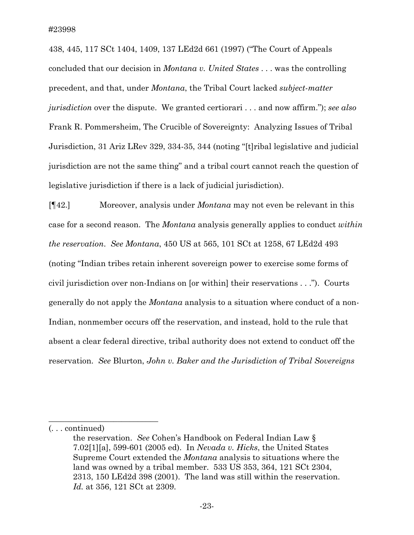438, 445, 117 SCt 1404, 1409, 137 LEd2d 661 (1997) ("The Court of Appeals concluded that our decision in *Montana v. United States* . . . was the controlling precedent, and that, under *Montana*, the Tribal Court lacked *subject-matter jurisdiction* over the dispute. We granted certiorari . . . and now affirm."); *see also* Frank R. Pommersheim, The Crucible of Sovereignty: Analyzing Issues of Tribal Jurisdiction, 31 Ariz LRev 329, 334-35, 344 (noting "[t]ribal legislative and judicial jurisdiction are not the same thing" and a tribal court cannot reach the question of legislative jurisdiction if there is a lack of judicial jurisdiction).

[¶42.] Moreover, analysis under *Montana* may not even be relevant in this case for a second reason. The *Montana* analysis generally applies to conduct *within the reservation*. *See Montana*, 450 US at 565, 101 SCt at 1258, 67 LEd2d 493 (noting "Indian tribes retain inherent sovereign power to exercise some forms of civil jurisdiction over non-Indians on [or within] their reservations . . ."). Courts generally do not apply the *Montana* analysis to a situation where conduct of a non-Indian, nonmember occurs off the reservation, and instead, hold to the rule that absent a clear federal directive, tribal authority does not extend to conduct off the reservation. *See* Blurton, *John v. Baker and the Jurisdiction of Tribal Sovereigns* 

\_\_\_\_\_\_\_\_\_\_\_\_\_\_\_\_\_\_\_\_\_\_\_\_\_\_\_

<sup>(. . .</sup> continued)

the reservation. *See* Cohen's Handbook on Federal Indian Law § 7.02[1][a], 599-601 (2005 ed). In *Nevada v. Hicks*, the United States Supreme Court extended the *Montana* analysis to situations where the land was owned by a tribal member. 533 US 353, 364, 121 SCt 2304, 2313, 150 LEd2d 398 (2001). The land was still within the reservation. *Id.* at 356, 121 SCt at 2309.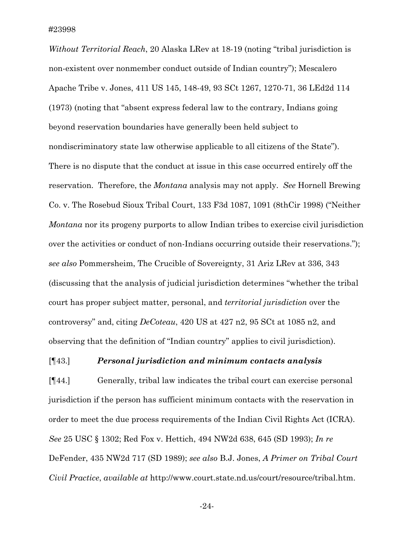*Without Territorial Reach*, 20 Alaska LRev at 18-19 (noting "tribal jurisdiction is non-existent over nonmember conduct outside of Indian country"); Mescalero Apache Tribe v. Jones, 411 US 145, 148-49, 93 SCt 1267, 1270-71, 36 LEd2d 114 (1973) (noting that "absent express federal law to the contrary, Indians going beyond reservation boundaries have generally been held subject to nondiscriminatory state law otherwise applicable to all citizens of the State"). There is no dispute that the conduct at issue in this case occurred entirely off the reservation. Therefore, the *Montana* analysis may not apply. *See* Hornell Brewing Co. v. The Rosebud Sioux Tribal Court, 133 F3d 1087, 1091 (8thCir 1998) ("Neither *Montana* nor its progeny purports to allow Indian tribes to exercise civil jurisdiction over the activities or conduct of non-Indians occurring outside their reservations."); *see also* Pommersheim, The Crucible of Sovereignty, 31 Ariz LRev at 336, 343 (discussing that the analysis of judicial jurisdiction determines "whether the tribal court has proper subject matter, personal, and *territorial jurisdiction* over the controversy" and, citing *DeCoteau*, 420 US at 427 n2, 95 SCt at 1085 n2, and observing that the definition of "Indian country" applies to civil jurisdiction).

## [¶43.] *Personal jurisdiction and minimum contacts analysis*

[¶44.] Generally, tribal law indicates the tribal court can exercise personal jurisdiction if the person has sufficient minimum contacts with the reservation in order to meet the due process requirements of the Indian Civil Rights Act (ICRA). *See* 25 USC § 1302; Red Fox v. Hettich, 494 NW2d 638, 645 (SD 1993); *In re* DeFender, 435 NW2d 717 (SD 1989); *see also* B.J. Jones, *A Primer on Tribal Court Civil Practice*, *available at* http://www.court.state.nd.us/court/resource/tribal.htm.

-24-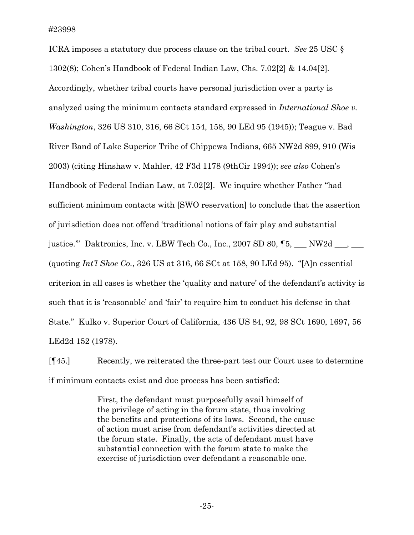ICRA imposes a statutory due process clause on the tribal court. *See* 25 USC § 1302(8); Cohen's Handbook of Federal Indian Law, Chs. 7.02[2] & 14.04[2]*.*  Accordingly, whether tribal courts have personal jurisdiction over a party is analyzed using the minimum contacts standard expressed in *International Shoe v. Washington*, 326 US 310, 316, 66 SCt 154, 158, 90 LEd 95 (1945)); Teague v. Bad River Band of Lake Superior Tribe of Chippewa Indians, 665 NW2d 899, 910 (Wis 2003) (citing Hinshaw v. Mahler, 42 F3d 1178 (9thCir 1994)); *see also* Cohen's Handbook of Federal Indian Law, at 7.02[2]. We inquire whether Father "had sufficient minimum contacts with [SWO reservation] to conclude that the assertion of jurisdiction does not offend 'traditional notions of fair play and substantial justice." Daktronics, Inc. v. LBW Tech Co., Inc., 2007 SD 80,  $\$\,5, \_\_\_N$  NW2d \_\_\_, \_\_\_ (quoting *Int'l Shoe Co.*, 326 US at 316, 66 SCt at 158, 90 LEd 95). "[A]n essential criterion in all cases is whether the 'quality and nature' of the defendant's activity is such that it is 'reasonable' and 'fair' to require him to conduct his defense in that State." Kulko v. Superior Court of California, 436 US 84, 92, 98 SCt 1690, 1697, 56 LEd2d 152 (1978).

[¶45.] Recently, we reiterated the three-part test our Court uses to determine if minimum contacts exist and due process has been satisfied:

> First, the defendant must purposefully avail himself of the privilege of acting in the forum state, thus invoking the benefits and protections of its laws. Second, the cause of action must arise from defendant's activities directed at the forum state. Finally, the acts of defendant must have substantial connection with the forum state to make the exercise of jurisdiction over defendant a reasonable one.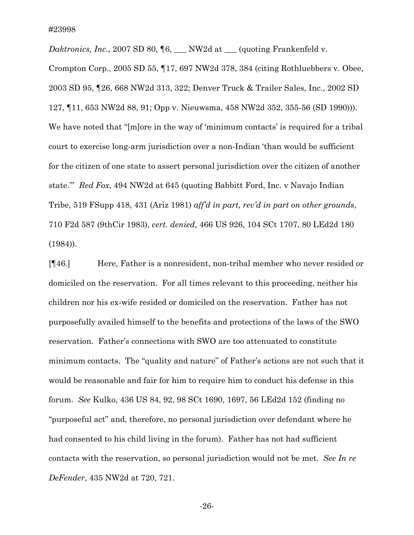*Daktronics, Inc.*, 2007 SD 80, ¶6, \_\_\_ NW2d at \_\_\_ (quoting Frankenfeld v. Crompton Corp., 2005 SD 55, ¶17, 697 NW2d 378, 384 (citing Rothluebbers v. Obee, 2003 SD 95, ¶26, 668 NW2d 313, 322; Denver Truck & Trailer Sales, Inc., 2002 SD 127, ¶11, 653 NW2d 88, 91; Opp v. Nieuwsma, 458 NW2d 352, 355-56 (SD 1990))). We have noted that "[m]ore in the way of 'minimum contacts' is required for a tribal court to exercise long-arm jurisdiction over a non-Indian 'than would be sufficient for the citizen of one state to assert personal jurisdiction over the citizen of another state.'" *Red Fox*, 494 NW2d at 645 (quoting Babbitt Ford, Inc. v Navajo Indian Tribe, 519 FSupp 418, 431 (Ariz 1981) *aff'd in part, rev'd in part on other grounds*, 710 F2d 587 (9thCir 1983), *cert. denied*, 466 US 926, 104 SCt 1707, 80 LEd2d 180 (1984)).

[¶46.] Here, Father is a nonresident, non-tribal member who never resided or domiciled on the reservation. For all times relevant to this proceeding, neither his children nor his ex-wife resided or domiciled on the reservation. Father has not purposefully availed himself to the benefits and protections of the laws of the SWO reservation. Father's connections with SWO are too attenuated to constitute minimum contacts. The "quality and nature" of Father's actions are not such that it would be reasonable and fair for him to require him to conduct his defense in this forum. *See* Kulko, 436 US 84, 92, 98 SCt 1690, 1697, 56 LEd2d 152 (finding no "purposeful act" and, therefore, no personal jurisdiction over defendant where he had consented to his child living in the forum). Father has not had sufficient contacts with the reservation, so personal jurisdiction would not be met. *See In re DeFender*, 435 NW2d at 720, 721.

-26-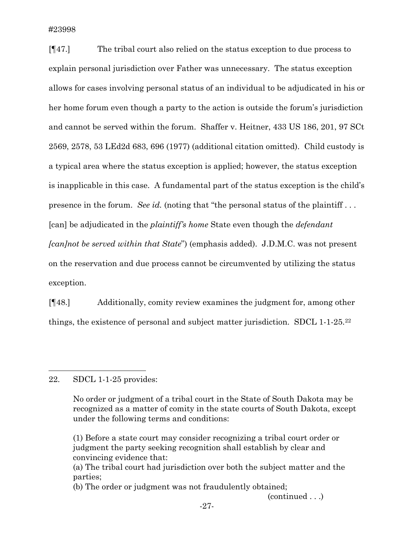[¶47.] The tribal court also relied on the status exception to due process to explain personal jurisdiction over Father was unnecessary. The status exception allows for cases involving personal status of an individual to be adjudicated in his or her home forum even though a party to the action is outside the forum's jurisdiction and cannot be served within the forum. Shaffer v. Heitner, 433 US 186, 201, 97 SCt 2569, 2578, 53 LEd2d 683, 696 (1977) (additional citation omitted). Child custody is a typical area where the status exception is applied; however, the status exception is inapplicable in this case. A fundamental part of the status exception is the child's presence in the forum. *See id.* (noting that "the personal status of the plaintiff . . . [can] be adjudicated in the *plaintiff's home* State even though the *defendant [can]not be served within that State*") (emphasis added). J.D.M.C. was not present on the reservation and due process cannot be circumvented by utilizing the status exception.

[¶48.] Additionally, comity review examines the judgment for, among other things, the existence of personal and subject matter jurisdiction. SDCL 1-1-25[.22](#page-27-0)

## <span id="page-27-0"></span>22. SDCL 1-1-25 provides:

 $\overline{a}$ 

No order or judgment of a tribal court in the State of South Dakota may be recognized as a matter of comity in the state courts of South Dakota, except under the following terms and conditions:

(1) Before a state court may consider recognizing a tribal court order or judgment the party seeking recognition shall establish by clear and convincing evidence that:

(continued . . .)

<sup>(</sup>a) The tribal court had jurisdiction over both the subject matter and the parties;

<sup>(</sup>b) The order or judgment was not fraudulently obtained;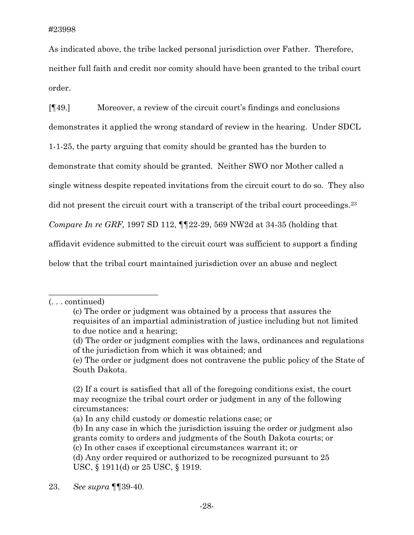As indicated above, the tribe lacked personal jurisdiction over Father. Therefore, neither full faith and credit nor comity should have been granted to the tribal court order.

[¶49.] Moreover, a review of the circuit court's findings and conclusions demonstrates it applied the wrong standard of review in the hearing. Under SDCL 1-1-25, the party arguing that comity should be granted has the burden to demonstrate that comity should be granted. Neither SWO nor Mother called a single witness despite repeated invitations from the circuit court to do so. They also did not present the circuit court with a transcript of the tribal court proceedings.<sup>[23](#page-28-0)</sup> *Compare In re GRF,* 1997 SD 112, ¶¶22-29, 569 NW2d at 34-35 (holding that affidavit evidence submitted to the circuit court was sufficient to support a finding below that the tribal court maintained jurisdiction over an abuse and neglect

\_\_\_\_\_\_\_\_\_\_\_\_\_\_\_\_\_\_\_\_\_\_\_\_\_\_\_

<sup>(. . .</sup> continued)

<sup>(</sup>c) The order or judgment was obtained by a process that assures the requisites of an impartial administration of justice including but not limited to due notice and a hearing;

<sup>(</sup>d) The order or judgment complies with the laws, ordinances and regulations of the jurisdiction from which it was obtained; and

<sup>(</sup>e) The order or judgment does not contravene the public policy of the State of South Dakota.

<sup>(2)</sup> If a court is satisfied that all of the foregoing conditions exist, the court may recognize the tribal court order or judgment in any of the following circumstances:

<sup>(</sup>a) In any child custody or domestic relations case; or

<sup>(</sup>b) In any case in which the jurisdiction issuing the order or judgment also grants comity to orders and judgments of the South Dakota courts; or

<sup>(</sup>c) In other cases if exceptional circumstances warrant it; or

<sup>(</sup>d) Any order required or authorized to be recognized pursuant to 25 USC, § 1911(d) or 25 USC, § 1919.

<span id="page-28-0"></span><sup>23.</sup> *See supra* ¶¶39-40.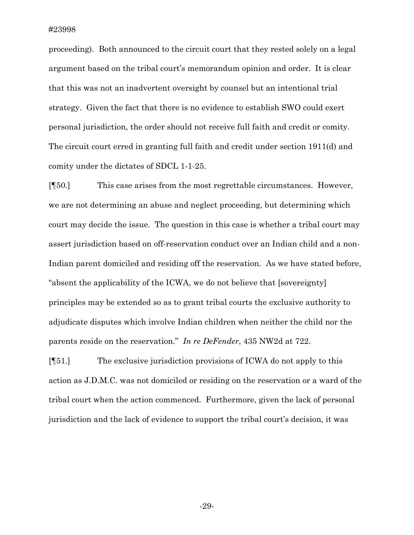proceeding). Both announced to the circuit court that they rested solely on a legal argument based on the tribal court's memorandum opinion and order. It is clear that this was not an inadvertent oversight by counsel but an intentional trial strategy. Given the fact that there is no evidence to establish SWO could exert personal jurisdiction, the order should not receive full faith and credit or comity. The circuit court erred in granting full faith and credit under section 1911(d) and comity under the dictates of SDCL 1-1-25.

[¶50.] This case arises from the most regrettable circumstances. However, we are not determining an abuse and neglect proceeding, but determining which court may decide the issue. The question in this case is whether a tribal court may assert jurisdiction based on off-reservation conduct over an Indian child and a non-Indian parent domiciled and residing off the reservation. As we have stated before, "absent the applicability of the ICWA, we do not believe that [sovereignty] principles may be extended so as to grant tribal courts the exclusive authority to adjudicate disputes which involve Indian children when neither the child nor the parents reside on the reservation." *In re DeFender*, 435 NW2d at 722.

[¶51.] The exclusive jurisdiction provisions of ICWA do not apply to this action as J.D.M.C. was not domiciled or residing on the reservation or a ward of the tribal court when the action commenced. Furthermore, given the lack of personal jurisdiction and the lack of evidence to support the tribal court's decision, it was

-29-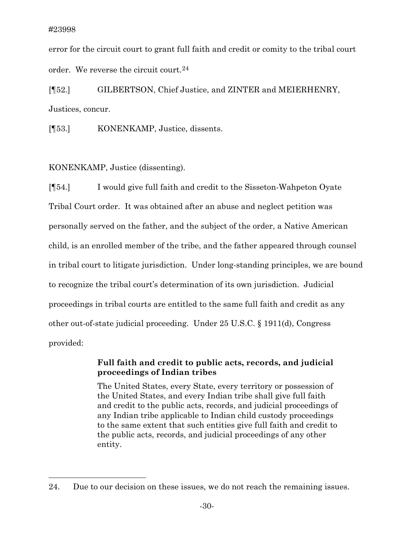$\overline{a}$ 

error for the circuit court to grant full faith and credit or comity to the tribal court order. We reverse the circuit court.  $24$ 

[¶52.] GILBERTSON, Chief Justice, and ZINTER and MEIERHENRY, Justices, concur.

[¶53.] KONENKAMP, Justice, dissents.

KONENKAMP, Justice (dissenting).

[¶54.] I would give full faith and credit to the Sisseton-Wahpeton Oyate Tribal Court order. It was obtained after an abuse and neglect petition was personally served on the father, and the subject of the order, a Native American child, is an enrolled member of the tribe, and the father appeared through counsel in tribal court to litigate jurisdiction. Under long-standing principles, we are bound to recognize the tribal court's determination of its own jurisdiction. Judicial proceedings in tribal courts are entitled to the same full faith and credit as any other out-of-state judicial proceeding. Under 25 U.S.C. § 1911(d), Congress provided:

# **Full faith and credit to public acts, records, and judicial proceedings of Indian tribes**

The United States, every State, every territory or possession of the United States, and every Indian tribe shall give full faith and credit to the public acts, records, and judicial proceedings of any Indian tribe applicable to Indian child custody proceedings to the same extent that such entities give full faith and credit to the public acts, records, and judicial proceedings of any other entity.

<span id="page-30-0"></span><sup>24.</sup> Due to our decision on these issues, we do not reach the remaining issues.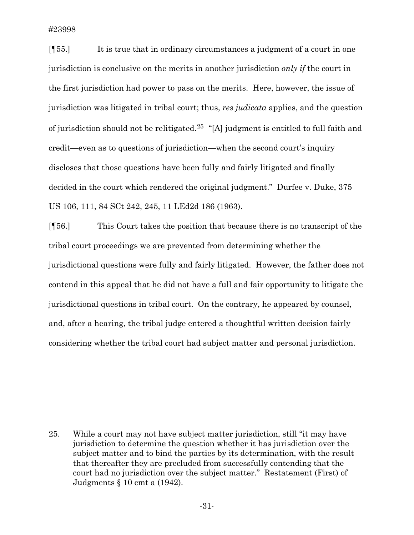$\overline{a}$ 

[¶55.] It is true that in ordinary circumstances a judgment of a court in one jurisdiction is conclusive on the merits in another jurisdiction *only if* the court in the first jurisdiction had power to pass on the merits. Here, however, the issue of jurisdiction was litigated in tribal court; thus, *res judicata* applies, and the question of jurisdiction should not be relitigated.[25](#page-31-0) "[A] judgment is entitled to full faith and credit—even as to questions of jurisdiction—when the second court's inquiry discloses that those questions have been fully and fairly litigated and finally decided in the court which rendered the original judgment." Durfee v. Duke, 375 US 106, 111, 84 SCt 242, 245, 11 LEd2d 186 (1963).

[¶56.] This Court takes the position that because there is no transcript of the tribal court proceedings we are prevented from determining whether the jurisdictional questions were fully and fairly litigated. However, the father does not contend in this appeal that he did not have a full and fair opportunity to litigate the jurisdictional questions in tribal court. On the contrary, he appeared by counsel, and, after a hearing, the tribal judge entered a thoughtful written decision fairly considering whether the tribal court had subject matter and personal jurisdiction.

<span id="page-31-0"></span><sup>25.</sup> While a court may not have subject matter jurisdiction, still "it may have jurisdiction to determine the question whether it has jurisdiction over the subject matter and to bind the parties by its determination, with the result that thereafter they are precluded from successfully contending that the court had no jurisdiction over the subject matter." Restatement (First) of Judgments § 10 cmt a (1942).